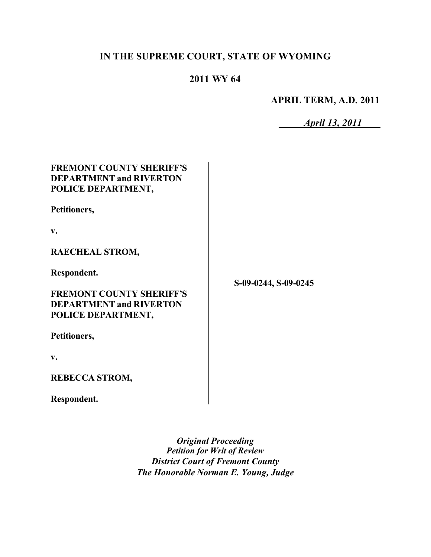# **IN THE SUPREME COURT, STATE OF WYOMING**

# **2011 WY 64**

**APRIL TERM, A.D. 2011**

*April 13, 2011*

# **FREMONT COUNTY SHERIFF'S DEPARTMENT and RIVERTON POLICE DEPARTMENT,**

**Petitioners,**

**v.**

**RAECHEAL STROM,**

**Respondent.**

**FREMONT COUNTY SHERIFF'S DEPARTMENT and RIVERTON POLICE DEPARTMENT,**

**Petitioners,**

**v.**

**REBECCA STROM,**

**Respondent.**

*Original Proceeding Petition for Writ of Review District Court of Fremont County The Honorable Norman E. Young, Judge* 

**S-09-0244, S-09-0245**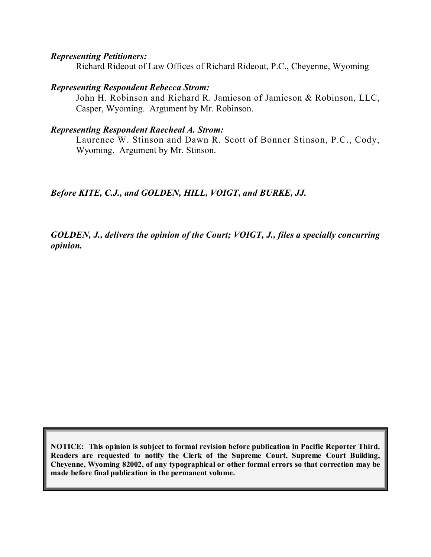#### *Representing Petitioners:*

Richard Rideout of Law Offices of Richard Rideout, P.C., Cheyenne, Wyoming

#### *Representing Respondent Rebecca Strom:*

John H. Robinson and Richard R. Jamieson of Jamieson & Robinson, LLC, Casper, Wyoming. Argument by Mr. Robinson.

#### *Representing Respondent Raecheal A. Strom:*

Laurence W. Stinson and Dawn R. Scott of Bonner Stinson, P.C., Cody, Wyoming. Argument by Mr. Stinson.

*Before KITE, C.J., and GOLDEN, HILL, VOIGT, and BURKE, JJ.*

*GOLDEN, J., delivers the opinion of the Court; VOIGT, J., files a specially concurring opinion.*

**NOTICE: This opinion is subject to formal revision before publication in Pacific Reporter Third. Readers are requested to notify the Clerk of the Supreme Court, Supreme Court Building, Cheyenne, Wyoming 82002, of any typographical or other formal errors so that correction may be made before final publication in the permanent volume.**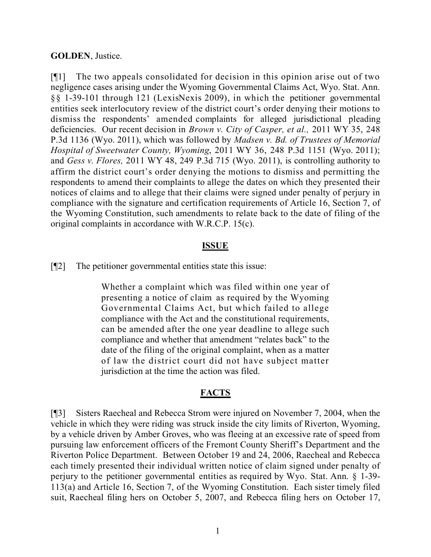#### **GOLDEN**, Justice.

[¶1] The two appeals consolidated for decision in this opinion arise out of two negligence cases arising under the Wyoming Governmental Claims Act, Wyo. Stat. Ann. §§ 1-39-101 through 121 (LexisNexis 2009), in which the petitioner governmental entities seek interlocutory review of the district court's order denying their motions to dismiss the respondents' amended complaints for alleged jurisdictional pleading deficiencies. Our recent decision in *Brown v. City of Casper, et al.,* 2011 WY 35, 248 P.3d 1136 (Wyo. 2011), which was followed by *Madsen v. Bd. of Trustees of Memorial Hospital of Sweetwater County, Wyoming*, 2011 WY 36, 248 P.3d 1151 (Wyo. 2011); and *Gess v. Flores,* 2011 WY 48, 249 P.3d 715 (Wyo. 2011), is controlling authority to affirm the district court's order denying the motions to dismiss and permitting the respondents to amend their complaints to allege the dates on which they presented their notices of claims and to allege that their claims were signed under penalty of perjury in compliance with the signature and certification requirements of Article 16, Section 7, of the Wyoming Constitution, such amendments to relate back to the date of filing of the original complaints in accordance with W.R.C.P. 15(c).

### **ISSUE**

[¶2] The petitioner governmental entities state this issue:

Whether a complaint which was filed within one year of presenting a notice of claim as required by the Wyoming Governmental Claims Act, but which failed to allege compliance with the Act and the constitutional requirements, can be amended after the one year deadline to allege such compliance and whether that amendment "relates back" to the date of the filing of the original complaint, when as a matter of law the district court did not have subject matter jurisdiction at the time the action was filed.

## **FACTS**

[¶3] Sisters Raecheal and Rebecca Strom were injured on November 7, 2004, when the vehicle in which they were riding was struck inside the city limits of Riverton, Wyoming, by a vehicle driven by Amber Groves, who was fleeing at an excessive rate of speed from pursuing law enforcement officers of the Fremont County Sheriff's Department and the Riverton Police Department. Between October 19 and 24, 2006, Raecheal and Rebecca each timely presented their individual written notice of claim signed under penalty of perjury to the petitioner governmental entities as required by Wyo. Stat. Ann. § 1-39- 113(a) and Article 16, Section 7, of the Wyoming Constitution. Each sister timely filed suit, Raecheal filing hers on October 5, 2007, and Rebecca filing hers on October 17,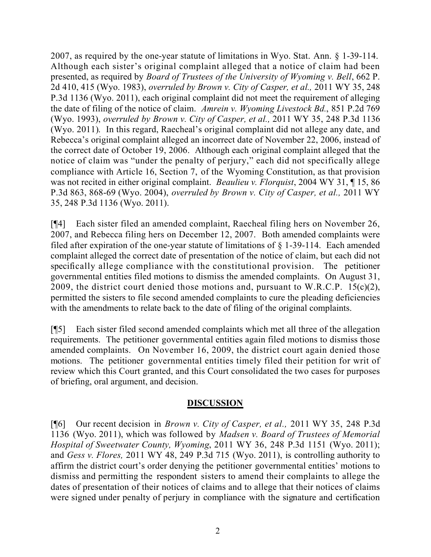2007, as required by the one-year statute of limitations in Wyo. Stat. Ann. § 1-39-114. Although each sister's original complaint alleged that a notice of claim had been presented, as required by *Board of Trustees of the University of Wyoming v. Bell*, 662 P. 2d 410, 415 (Wyo. 1983), *overruled by Brown v. City of Casper, et al.,* 2011 WY 35, 248 P.3d 1136 (Wyo. 2011), each original complaint did not meet the requirement of alleging the date of filing of the notice of claim. *Amrein v. Wyoming Livestock Bd.*, 851 P.2d 769 (Wyo. 1993), *overruled by Brown v. City of Casper, et al.,* 2011 WY 35, 248 P.3d 1136 (Wyo. 2011). In this regard, Raecheal's original complaint did not allege any date, and Rebecca's original complaint alleged an incorrect date of November 22, 2006, instead of the correct date of October 19, 2006. Although each original complaint alleged that the notice of claim was "under the penalty of perjury," each did not specifically allege compliance with Article 16, Section 7, of the Wyoming Constitution, as that provision was not recited in either original complaint. *Beaulieu v. Florquist*, 2004 WY 31, ¶ 15, 86 P.3d 863, 868-69 (Wyo. 2004), *overruled by Brown v. City of Casper, et al.,* 2011 WY 35, 248 P.3d 1136 (Wyo. 2011).

[¶4] Each sister filed an amended complaint, Raecheal filing hers on November 26, 2007, and Rebecca filing hers on December 12, 2007. Both amended complaints were filed after expiration of the one-year statute of limitations of  $\S$  1-39-114. Each amended complaint alleged the correct date of presentation of the notice of claim, but each did not specifically allege compliance with the constitutional provision. The petitioner governmental entities filed motions to dismiss the amended complaints. On August 31, 2009, the district court denied those motions and, pursuant to W.R.C.P.  $15(c)(2)$ , permitted the sisters to file second amended complaints to cure the pleading deficiencies with the amendments to relate back to the date of filing of the original complaints.

[¶5] Each sister filed second amended complaints which met all three of the allegation requirements. The petitioner governmental entities again filed motions to dismiss those amended complaints. On November 16, 2009, the district court again denied those motions. The petitioner governmental entities timely filed their petition for writ of review which this Court granted, and this Court consolidated the two cases for purposes of briefing, oral argument, and decision.

## **DISCUSSION**

[¶6] Our recent decision in *Brown v. City of Casper, et al.,* 2011 WY 35, 248 P.3d 1136 (Wyo. 2011), which was followed by *Madsen v. Board of Trustees of Memorial Hospital of Sweetwater County, Wyoming*, 2011 WY 36, 248 P.3d 1151 (Wyo. 2011); and *Gess v. Flores,* 2011 WY 48, 249 P.3d 715 (Wyo. 2011), is controlling authority to affirm the district court's order denying the petitioner governmental entities' motions to dismiss and permitting the respondent sisters to amend their complaints to allege the dates of presentation of their notices of claims and to allege that their notices of claims were signed under penalty of perjury in compliance with the signature and certification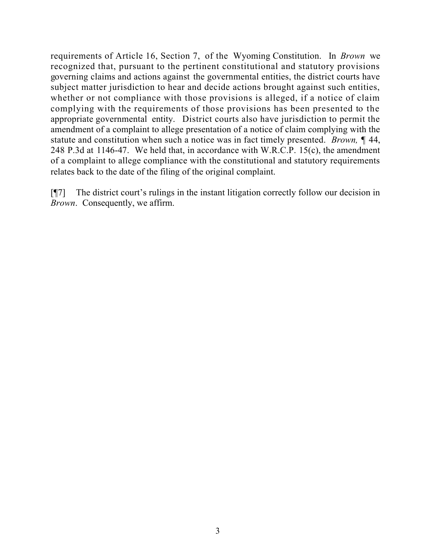requirements of Article 16, Section 7, of the Wyoming Constitution. In *Brown* we recognized that, pursuant to the pertinent constitutional and statutory provisions governing claims and actions against the governmental entities, the district courts have subject matter jurisdiction to hear and decide actions brought against such entities, whether or not compliance with those provisions is alleged, if a notice of claim complying with the requirements of those provisions has been presented to the appropriate governmental entity. District courts also have jurisdiction to permit the amendment of a complaint to allege presentation of a notice of claim complying with the statute and constitution when such a notice was in fact timely presented. *Brown,* ¶ 44, 248 P.3d at 1146-47. We held that, in accordance with W.R.C.P. 15(c), the amendment of a complaint to allege compliance with the constitutional and statutory requirements relates back to the date of the filing of the original complaint.

[¶7] The district court's rulings in the instant litigation correctly follow our decision in *Brown*. Consequently, we affirm.